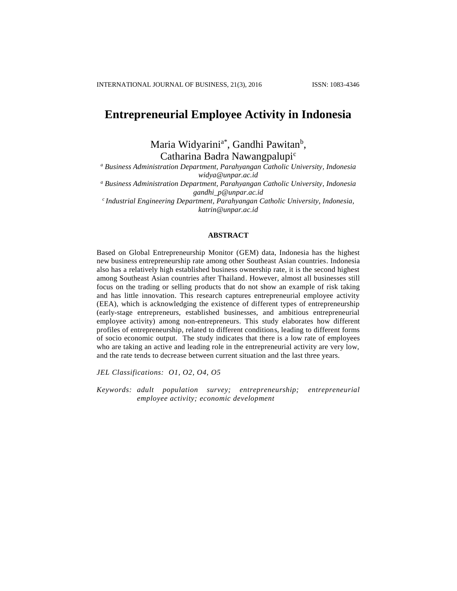# **Entrepreneurial Employee Activity in Indonesia**

Maria Widyarini<sup>a\*</sup>, Gandhi Pawitan<sup>b</sup>, Catharina Badra Nawangpalupi<sup>c</sup>

*<sup>a</sup> Business Administration Department, Parahyangan Catholic University, Indonesia [widya@unpar.ac.id](mailto:widya@unpar.ac.id)*

*<sup>a</sup> Business Administration Department, Parahyangan Catholic University, Indonesia gandhi\_p@unpar.ac.id*

*<sup>c</sup>Industrial Engineering Department, Parahyangan Catholic University, Indonesia, katrin@unpar.ac.id*

#### **ABSTRACT**

Based on Global Entrepreneurship Monitor (GEM) data, Indonesia has the highest new business entrepreneurship rate among other Southeast Asian countries. Indonesia also has a relatively high established business ownership rate, it is the second highest among Southeast Asian countries after Thailand. However, almost all businesses still focus on the trading or selling products that do not show an example of risk taking and has little innovation. This research captures entrepreneurial employee activity (EEA), which is acknowledging the existence of different types of entrepreneurship (early-stage entrepreneurs, established businesses, and ambitious entrepreneurial employee activity) among non-entrepreneurs. This study elaborates how different profiles of entrepreneurship, related to different conditions, leading to different forms of socio economic output. The study indicates that there is a low rate of employees who are taking an active and leading role in the entrepreneurial activity are very low, and the rate tends to decrease between current situation and the last three years.

*JEL Classifications: O1, O2, O4, O5*

*Keywords: adult population survey; entrepreneurship; entrepreneurial employee activity; economic development*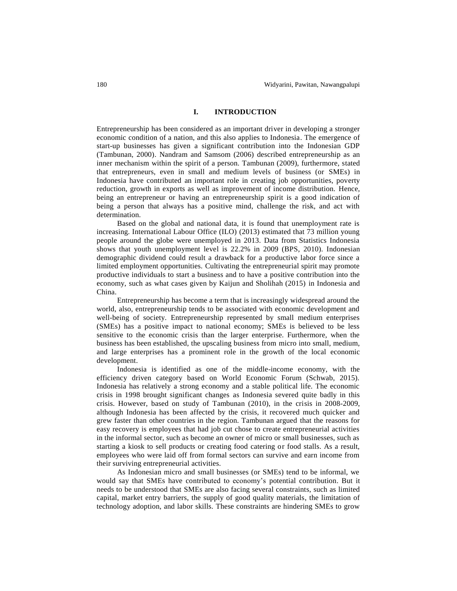#### **I. INTRODUCTION**

Entrepreneurship has been considered as an important driver in developing a stronger economic condition of a nation, and this also applies to Indonesia. The emergence of start-up businesses has given a significant contribution into the Indonesian GDP (Tambunan, 2000). Nandram and Samsom (2006) described entrepreneurship as an inner mechanism within the spirit of a person. Tambunan (2009), furthermore, stated that entrepreneurs, even in small and medium levels of business (or SMEs) in Indonesia have contributed an important role in creating job opportunities, poverty reduction, growth in exports as well as improvement of income distribution. Hence, being an entrepreneur or having an entrepreneurship spirit is a good indication of being a person that always has a positive mind, challenge the risk, and act with determination.

Based on the global and national data, it is found that unemployment rate is increasing. International Labour Office (ILO) (2013) estimated that 73 million young people around the globe were unemployed in 2013. Data from Statistics Indonesia shows that youth unemployment level is 22.2% in 2009 (BPS, 2010). Indonesian demographic dividend could result a drawback for a productive labor force since a limited employment opportunities. Cultivating the entrepreneurial spirit may promote productive individuals to start a business and to have a positive contribution into the economy, such as what cases given by Kaijun and Sholihah (2015) in Indonesia and China.

Entrepreneurship has become a term that is increasingly widespread around the world, also, entrepreneurship tends to be associated with economic development and well-being of society. Entrepreneurship represented by small medium enterprises (SMEs) has a positive impact to national economy; SMEs is believed to be less sensitive to the economic crisis than the larger enterprise. Furthermore, when the business has been established, the upscaling business from micro into small, medium, and large enterprises has a prominent role in the growth of the local economic development.

Indonesia is identified as one of the middle-income economy, with the efficiency driven category based on World Economic Forum (Schwab, 2015). Indonesia has relatively a strong economy and a stable political life. The economic crisis in 1998 brought significant changes as Indonesia severed quite badly in this crisis. However, based on study of Tambunan (2010), in the crisis in 2008-2009, although Indonesia has been affected by the crisis, it recovered much quicker and grew faster than other countries in the region. Tambunan argued that the reasons for easy recovery is employees that had job cut chose to create entrepreneurial activities in the informal sector, such as become an owner of micro or small businesses, such as starting a kiosk to sell products or creating food catering or food stalls. As a result, employees who were laid off from formal sectors can survive and earn income from their surviving entrepreneurial activities.

As Indonesian micro and small businesses (or SMEs) tend to be informal, we would say that SMEs have contributed to economy's potential contribution. But it needs to be understood that SMEs are also facing several constraints, such as limited capital, market entry barriers, the supply of good quality materials, the limitation of technology adoption, and labor skills. These constraints are hindering SMEs to grow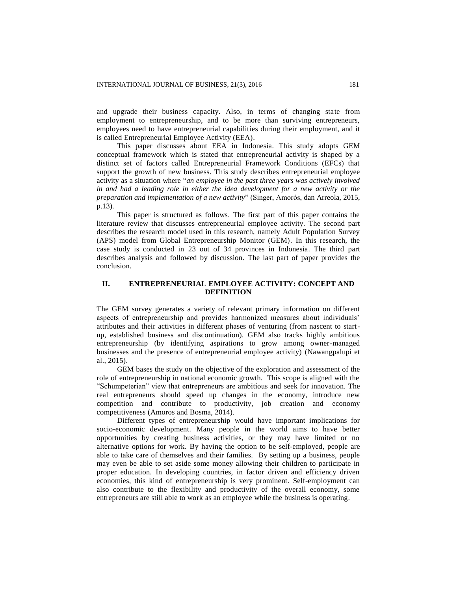and upgrade their business capacity. Also, in terms of changing state from employment to entrepreneurship, and to be more than surviving entrepreneurs, employees need to have entrepreneurial capabilities during their employment, and it is called Entrepreneurial Employee Activity (EEA).

This paper discusses about EEA in Indonesia. This study adopts GEM conceptual framework which is stated that entrepreneurial activity is shaped by a distinct set of factors called Entrepreneurial Framework Conditions (EFCs) that support the growth of new business. This study describes entrepreneurial employee activity as a situation where "*an employee in the past three years was actively involved in and had a leading role in either the idea development for a new activity or the preparation and implementation of a new activity*" (Singer, Amorós, dan Arreola, 2015, p.13).

This paper is structured as follows. The first part of this paper contains the literature review that discusses entrepreneurial employee activity. The second part describes the research model used in this research, namely Adult Population Survey (APS) model from Global Entrepreneurship Monitor (GEM). In this research, the case study is conducted in 23 out of 34 provinces in Indonesia. The third part describes analysis and followed by discussion. The last part of paper provides the conclusion.

## **II. ENTREPRENEURIAL EMPLOYEE ACTIVITY: CONCEPT AND DEFINITION**

The GEM survey generates a variety of relevant primary information on different aspects of entrepreneurship and provides harmonized measures about individuals' attributes and their activities in different phases of venturing (from nascent to startup, established business and discontinuation). GEM also tracks highly ambitious entrepreneurship (by identifying aspirations to grow among owner-managed businesses and the presence of entrepreneurial employee activity) (Nawangpalupi et al., 2015).

GEM bases the study on the objective of the exploration and assessment of the role of entrepreneurship in national economic growth. This scope is aligned with the "Schumpeterian" view that entrepreneurs are ambitious and seek for innovation. The real entrepreneurs should speed up changes in the economy, introduce new competition and contribute to productivity, job creation and economy competitiveness (Amoros and Bosma, 2014).

Different types of entrepreneurship would have important implications for socio-economic development. Many people in the world aims to have better opportunities by creating business activities, or they may have limited or no alternative options for work. By having the option to be self-employed, people are able to take care of themselves and their families. By setting up a business, people may even be able to set aside some money allowing their children to participate in proper education. In developing countries, in factor driven and efficiency driven economies, this kind of entrepreneurship is very prominent. Self-employment can also contribute to the flexibility and productivity of the overall economy, some entrepreneurs are still able to work as an employee while the business is operating.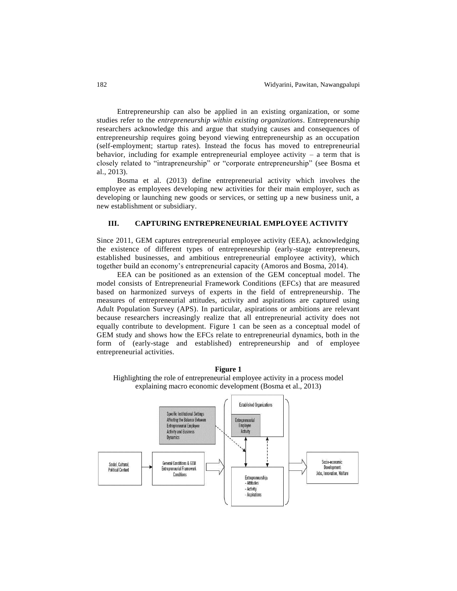Entrepreneurship can also be applied in an existing organization, or some studies refer to the *entrepreneurship within existing organizations*. Entrepreneurship researchers acknowledge this and argue that studying causes and consequences of entrepreneurship requires going beyond viewing entrepreneurship as an occupation (self-employment; startup rates). Instead the focus has moved to entrepreneurial behavior, including for example entrepreneurial employee activity  $-$  a term that is closely related to "intrapreneurship" or "corporate entrepreneurship" (see Bosma et al., 2013).

Bosma et al. (2013) define entrepreneurial activity which involves the employee as employees developing new activities for their main employer, such as developing or launching new goods or services, or setting up a new business unit, a new establishment or subsidiary.

#### **III. CAPTURING ENTREPRENEURIAL EMPLOYEE ACTIVITY**

Since 2011, GEM captures entrepreneurial employee activity (EEA), acknowledging the existence of different types of entrepreneurship (early-stage entrepreneurs, established businesses, and ambitious entrepreneurial employee activity), which together build an economy's entrepreneurial capacity (Amoros and Bosma, 2014).

EEA can be positioned as an extension of the GEM conceptual model. The model consists of Entrepreneurial Framework Conditions (EFCs) that are measured based on harmonized surveys of experts in the field of entrepreneurship. The measures of entrepreneurial attitudes, activity and aspirations are captured using Adult Population Survey (APS). In particular, aspirations or ambitions are relevant because researchers increasingly realize that all entrepreneurial activity does not equally contribute to development. Figure 1 can be seen as a conceptual model of GEM study and shows how the EFCs relate to entrepreneurial dynamics, both in the form of (early-stage and established) entrepreneurship and of employee entrepreneurial activities.



**Figure 1** Highlighting the role of entrepreneurial employee activity in a process model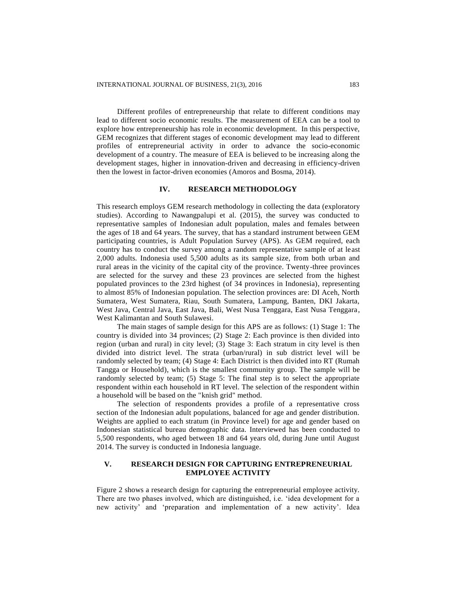Different profiles of entrepreneurship that relate to different conditions may lead to different socio economic results. The measurement of EEA can be a tool to explore how entrepreneurship has role in economic development. In this perspective, GEM recognizes that different stages of economic development may lead to different profiles of entrepreneurial activity in order to advance the socio-economic development of a country. The measure of EEA is believed to be increasing along the development stages, higher in innovation-driven and decreasing in efficiency-driven then the lowest in factor-driven economies (Amoros and Bosma, 2014).

## **IV. RESEARCH METHODOLOGY**

This research employs GEM research methodology in collecting the data (exploratory studies). According to Nawangpalupi et al. (2015), the survey was conducted to representative samples of Indonesian adult population, males and females between the ages of 18 and 64 years. The survey, that has a standard instrument between GEM participating countries, is Adult Population Survey (APS). As GEM required, each country has to conduct the survey among a random representative sample of at least 2,000 adults. Indonesia used 5,500 adults as its sample size, from both urban and rural areas in the vicinity of the capital city of the province. Twenty-three provinces are selected for the survey and these 23 provinces are selected from the highest populated provinces to the 23rd highest (of 34 provinces in Indonesia), representing to almost 85% of Indonesian population. The selection provinces are: DI Aceh, North Sumatera, West Sumatera, Riau, South Sumatera, Lampung, Banten, DKI Jakarta, West Java, Central Java, East Java, Bali, West Nusa Tenggara, East Nusa Tenggara, West Kalimantan and South Sulawesi.

The main stages of sample design for this APS are as follows: (1) Stage 1: The country is divided into 34 provinces; (2) Stage 2: Each province is then divided into region (urban and rural) in city level; (3) Stage 3: Each stratum in city level is then divided into district level. The strata (urban/rural) in sub district level will be randomly selected by team; (4) Stage 4: Each District is then divided into RT (Rumah Tangga or Household), which is the smallest community group. The sample will be randomly selected by team; (5) Stage 5: The final step is to select the appropriate respondent within each household in RT level. The selection of the respondent within a household will be based on the "knish grid" method.

The selection of respondents provides a profile of a representative cross section of the Indonesian adult populations, balanced for age and gender distribution. Weights are applied to each stratum (in Province level) for age and gender based on Indonesian statistical bureau demographic data. Interviewed has been conducted to 5,500 respondents, who aged between 18 and 64 years old, during June until August 2014. The survey is conducted in Indonesia language.

## **V. RESEARCH DESIGN FOR CAPTURING ENTREPRENEURIAL EMPLOYEE ACTIVITY**

[Figure 2](#page-5-0) shows a research design for capturing the entrepreneurial employee activity. There are two phases involved, which are distinguished, i.e. 'idea development for a new activity' and 'preparation and implementation of a new activity'. Idea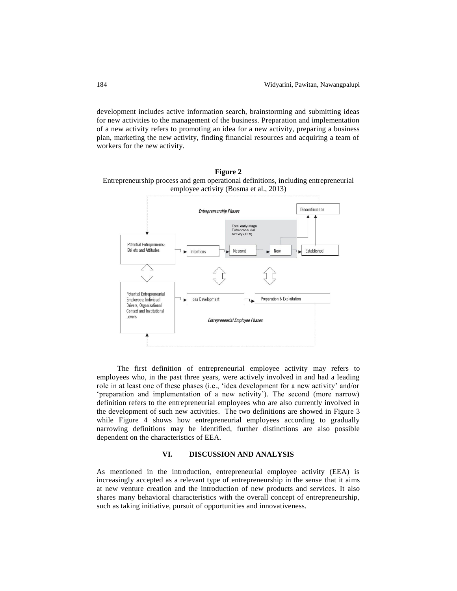development includes active information search, brainstorming and submitting ideas for new activities to the management of the business. Preparation and implementation of a new activity refers to promoting an idea for a new activity, preparing a business plan, marketing the new activity, finding financial resources and acquiring a team of workers for the new activity.



<span id="page-5-0"></span>**Figure 2** Entrepreneurship process and gem operational definitions, including entrepreneurial

The first definition of entrepreneurial employee activity may refers to employees who, in the past three years, were actively involved in and had a leading role in at least one of these phases (i.e., 'idea development for a new activity' and/or 'preparation and implementation of a new activity'). The second (more narrow) definition refers to the entrepreneurial employees who are also currently involved in the development of such new activities. The two definitions are showed in Figure 3 while Figure 4 shows how entrepreneurial employees according to gradually narrowing definitions may be identified, further distinctions are also possible dependent on the characteristics of EEA.

#### **VI. DISCUSSION AND ANALYSIS**

As mentioned in the introduction, entrepreneurial employee activity (EEA) is increasingly accepted as a relevant type of entrepreneurship in the sense that it aims at new venture creation and the introduction of new products and services. It also shares many behavioral characteristics with the overall concept of entrepreneurship, such as taking initiative, pursuit of opportunities and innovativeness.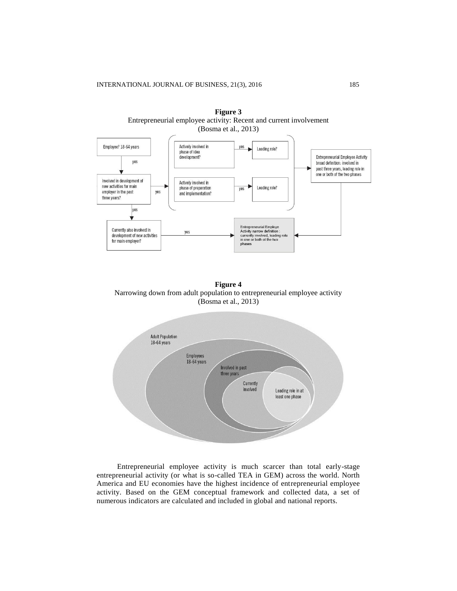

**Figure 3** Entrepreneurial employee activity: Recent and current involvement (Bosma et al., 2013)

**Figure 4** Narrowing down from adult population to entrepreneurial employee activity (Bosma et al., 2013)



Entrepreneurial employee activity is much scarcer than total early-stage entrepreneurial activity (or what is so-called TEA in GEM) across the world. North America and EU economies have the highest incidence of entrepreneurial employee activity. Based on the GEM conceptual framework and collected data, a set of numerous indicators are calculated and included in global and national reports.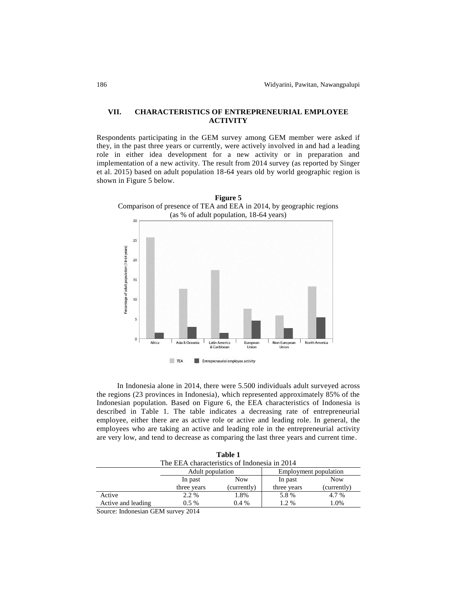#### **VII. CHARACTERISTICS OF ENTREPRENEURIAL EMPLOYEE ACTIVITY**

Respondents participating in the GEM survey among GEM member were asked if they, in the past three years or currently, were actively involved in and had a leading role in either idea development for a new activity or in preparation and implementation of a new activity. The result from 2014 survey (as reported by Singer et al. 2015) based on adult population 18-64 years old by world geographic region is shown in Figure 5 below.



In Indonesia alone in 2014, there were 5.500 individuals adult surveyed across the regions (23 provinces in Indonesia), which represented approximately 85% of the Indonesian population. Based on Figure 6, the EEA characteristics of Indonesia is described in Table 1. The table indicates a decreasing rate of entrepreneurial employee, either there are as active role or active and leading role. In general, the employees who are taking an active and leading role in the entrepreneurial activity are very low, and tend to decrease as comparing the last three years and current time.

| Table 1                                      |                  |             |                       |             |
|----------------------------------------------|------------------|-------------|-----------------------|-------------|
| The EEA characteristics of Indonesia in 2014 |                  |             |                       |             |
|                                              | Adult population |             | Employment population |             |
|                                              | In past          | <b>Now</b>  | In past               | <b>Now</b>  |
|                                              | three years      | (currently) | three years           | (currently) |
| Active                                       | 2.2 %            | 1.8%        | 5.8%                  | 4.7 %       |
| Active and leading                           | $0.5\%$          | $0.4\%$     | 1.2 %                 | 1.0%        |

Source: Indonesian GEM survey 2014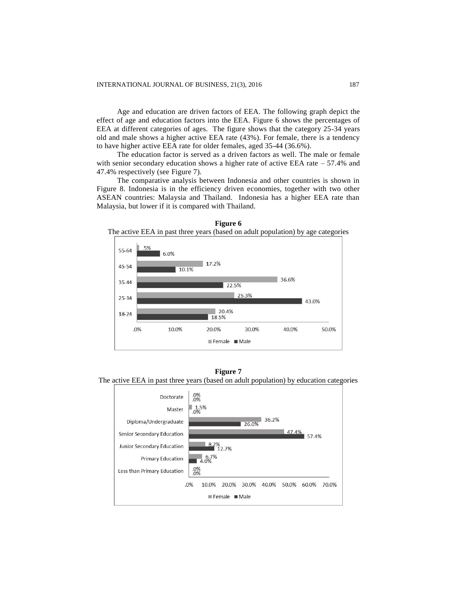Age and education are driven factors of EEA. The following graph depict the effect of age and education factors into the EEA. Figure 6 shows the percentages of EEA at different categories of ages. The figure shows that the category 25-34 years old and male shows a higher active EEA rate (43%). For female, there is a tendency to have higher active EEA rate for older females, aged 35-44 (36.6%).

The education factor is served as a driven factors as well. The male or female with senior secondary education shows a higher rate of active EEA rate  $-57.4\%$  and 47.4% respectively (see Figure 7).

The comparative analysis between Indonesia and other countries is shown in Figure 8. Indonesia is in the efficiency driven economies, together with two other ASEAN countries: Malaysia and Thailand. Indonesia has a higher EEA rate than Malaysia, but lower if it is compared with Thailand.



**Figure 6** The active EEA in past three years (based on adult population) by age categories

**Figure 7**

The active EEA in past three years (based on adult population) by education categories

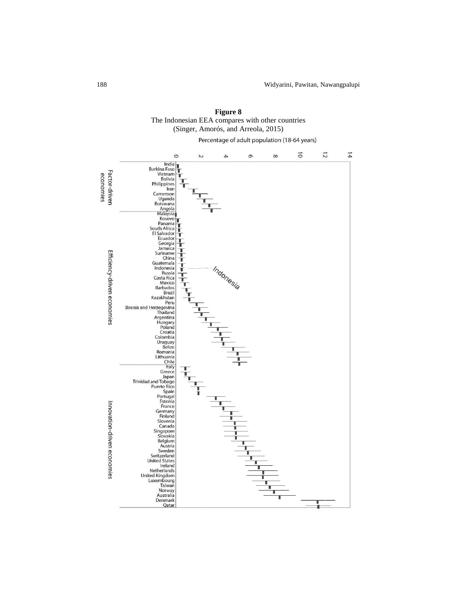

**Figure 8** The Indonesian EEA compares with other countries (Singer, Amorós, and Arreola, 2015)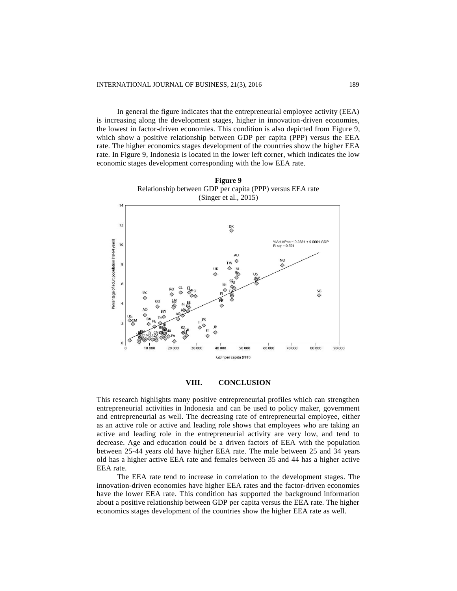In general the figure indicates that the entrepreneurial employee activity (EEA) is increasing along the development stages, higher in innovation-driven economies, the lowest in factor-driven economies. This condition is also depicted from Figure 9, which show a positive relationship between GDP per capita (PPP) versus the EEA rate. The higher economics stages development of the countries show the higher EEA rate. In Figure 9, Indonesia is located in the lower left corner, which indicates the low economic stages development corresponding with the low EEA rate.





This research highlights many positive entrepreneurial profiles which can strengthen entrepreneurial activities in Indonesia and can be used to policy maker, government and entrepreneurial as well. The decreasing rate of entrepreneurial employee, either as an active role or active and leading role shows that employees who are taking an active and leading role in the entrepreneurial activity are very low, and tend to decrease. Age and education could be a driven factors of EEA with the population between 25-44 years old have higher EEA rate. The male between 25 and 34 years old has a higher active EEA rate and females between 35 and 44 has a higher active EEA rate.

The EEA rate tend to increase in correlation to the development stages. The innovation-driven economies have higher EEA rates and the factor-driven economies have the lower EEA rate. This condition has supported the background information about a positive relationship between GDP per capita versus the EEA rate. The higher economics stages development of the countries show the higher EEA rate as well.